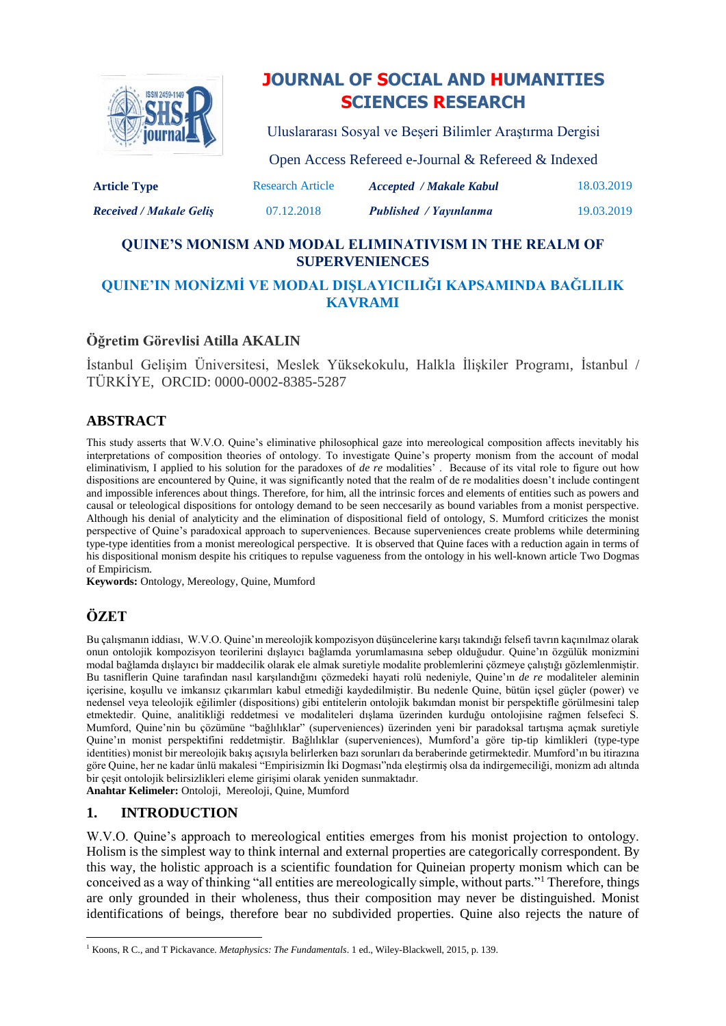

# **JOURNAL OF SOCIAL AND HUMANITIES SCIENCES RESEARCH**

Uluslararası Sosyal ve Beşeri Bilimler Araştırma Dergisi

| <b>Article Type</b>            | Open Access Refereed e-Journal & Refereed & Indexed |                                |            |
|--------------------------------|-----------------------------------------------------|--------------------------------|------------|
|                                | <b>Research Article</b>                             | <b>Accepted / Makale Kabul</b> | 18.03.2019 |
| <b>Received / Makale Gelis</b> | 07.12.2018                                          | Published / Yayınlanma         | 19.03.2019 |

## **QUINE'S MONISM AND MODAL ELIMINATIVISM IN THE REALM OF SUPERVENIENCES**

## **QUINE'IN MONİZMİ VE MODAL DIŞLAYICILIĞI KAPSAMINDA BAĞLILIK KAVRAMI**

## **Öğretim Görevlisi Atilla AKALIN**

İstanbul Gelişim Üniversitesi, Meslek Yüksekokulu, Halkla İlişkiler Programı, İstanbul / TÜRKİYE, ORCID: 0000-0002-8385-5287

## **ABSTRACT**

This study asserts that W.V.O. Quine's eliminative philosophical gaze into mereological composition affects inevitably his interpretations of composition theories of ontology. To investigate Quine's property monism from the account of modal eliminativism, I applied to his solution for the paradoxes of *de re* modalities' . Because of its vital role to figure out how dispositions are encountered by Quine, it was significantly noted that the realm of de re modalities doesn't include contingent and impossible inferences about things. Therefore, for him, all the intrinsic forces and elements of entities such as powers and causal or teleological dispositions for ontology demand to be seen neccesarily as bound variables from a monist perspective. [Although](https://tureng.com/tr/turkce-ingilizce/although%20not%20yet%20certain) his denial of analyticity and the elimination of dispositional field of ontology, S. Mumford criticizes the monist perspective of Quine's paradoxical approach to superveniences. Because superveniences create problems while determining type-type identities from a monist mereological perspective. It is observed that Quine faces with a reduction again in terms of his dispositional monism despite his critiques to repulse vagueness from the ontology in his well-known article Two Dogmas of Empiricism.

**Keywords:** Ontology, Mereology, Quine, Mumford

## **ÖZET**

Bu çalışmanın iddiası, W.V.O. Quine'ın mereolojik kompozisyon düşüncelerine karşı takındığı felsefi tavrın kaçınılmaz olarak onun ontolojik kompozisyon teorilerini dışlayıcı bağlamda yorumlamasına sebep olduğudur. Quine'ın özgülük monizmini modal bağlamda dışlayıcı bir maddecilik olarak ele almak suretiyle modalite problemlerini çözmeye çalıştığı gözlemlenmiştir. Bu tasniflerin Quine tarafından nasıl karşılandığını çözmedeki hayati rolü nedeniyle, Quine'ın *de re* modaliteler aleminin içerisine, koşullu ve imkansız çıkarımları kabul etmediği kaydedilmiştir. Bu nedenle Quine, bütün içsel güçler (power) ve nedensel veya teleolojik eğilimler (dispositions) gibi entitelerin ontolojik bakımdan monist bir perspektifle görülmesini talep etmektedir. Quine, analitikliği reddetmesi ve modaliteleri dışlama üzerinden kurduğu ontolojisine rağmen felsefeci S. Mumford, Quine'nin bu çözümüne "bağlılıklar" (superveniences) üzerinden yeni bir paradoksal tartışma açmak suretiyle Quine'ın monist perspektifini reddetmiştir. Bağlılıklar (superveniences), Mumford'a göre tip-tip kimlikleri (type-type identities) monist bir mereolojik bakış açısıyla belirlerken bazı sorunları da beraberinde getirmektedir. Mumford'ın bu itirazına göre Quine, her ne kadar ünlü makalesi "Empirisizmin İki Dogması"nda eleştirmiş olsa da indirgemeciliği, monizm adı altında bir çeşit ontolojik belirsizlikleri eleme girişimi olarak yeniden sunmaktadır.

**Anahtar Kelimeler:** Ontoloji, Mereoloji, Quine, Mumford

### **1. INTRODUCTION**

W.V.O. Quine's approach to mereological entities emerges from his monist projection to ontology. Holism is the simplest way to think internal and external properties are categorically correspondent. By this way, the holistic approach is a scientific foundation for Quineian property monism which can be conceived as a way of thinking "all entities are mereologically simple, without parts."<sup>1</sup> Therefore, things are only grounded in their wholeness, thus their composition may never be distinguished. Monist identifications of beings, therefore bear no subdivided properties. Quine also rejects the nature of

 $\overline{\phantom{a}}$ <sup>1</sup> Koons, R C., and T Pickavance. *Metaphysics: The Fundamentals*. 1 ed., Wiley-Blackwell, 2015, p. 139.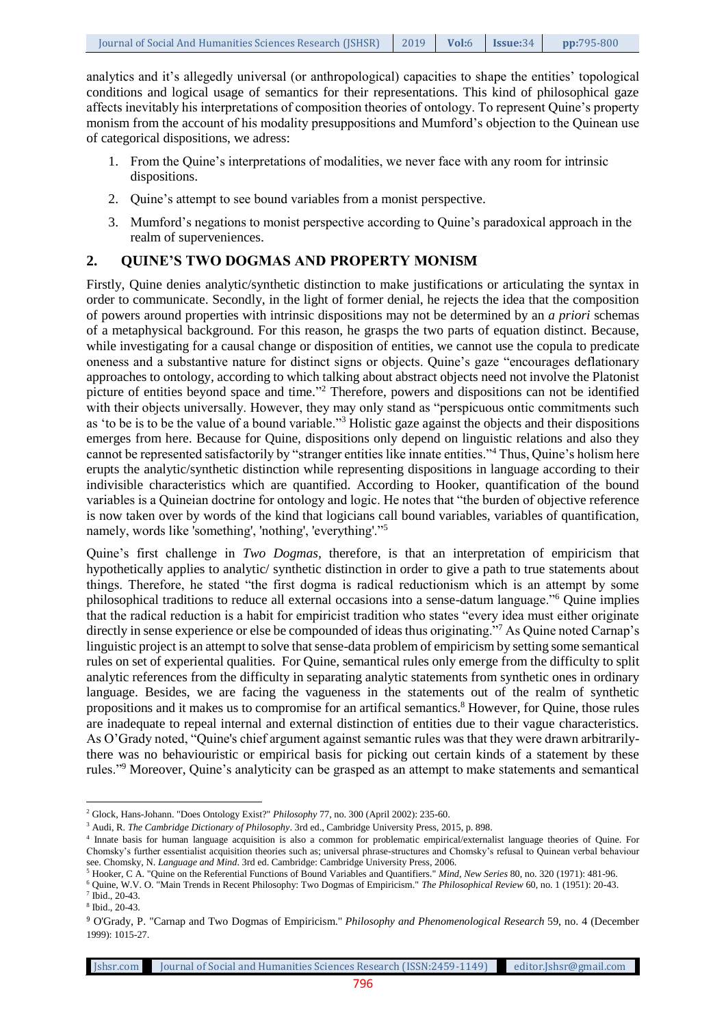analytics and it's allegedly universal (or anthropological) capacities to shape the entities' topological conditions and logical usage of semantics for their representations. This kind of philosophical gaze affects inevitably his interpretations of composition theories of ontology. To represent Quine's property monism from the account of his modality presuppositions and Mumford's objection to the Quinean use of categorical dispositions, we adress:

- 1. From the Quine's interpretations of modalities, we never face with any room for intrinsic dispositions.
- 2. Quine's attempt to see bound variables from a monist perspective.
- 3. Mumford's negations to monist perspective according to Quine's paradoxical approach in the realm of superveniences.

#### **2. QUINE'S TWO DOGMAS AND PROPERTY MONISM**

Firstly, Quine denies analytic/synthetic distinction to make justifications or articulating the syntax in order to communicate. Secondly, in the light of former denial, he rejects the idea that the composition of powers around properties with intrinsic dispositions may not be determined by an *a priori* schemas of a metaphysical background. For this reason, he grasps the two parts of equation distinct. Because, while investigating for a causal change or disposition of entities, we cannot use the copula to predicate oneness and a substantive nature for distinct signs or objects. Quine's gaze "encourages deflationary approaches to ontology, according to which talking about abstract objects need not involve the Platonist picture of entities beyond space and time."<sup>2</sup> Therefore, powers and dispositions can not be identified with their objects universally. However, they may only stand as "perspicuous ontic commitments such as 'to be is to be the value of a bound variable."<sup>3</sup> Holistic gaze against the objects and their dispositions emerges from here. Because for Quine, dispositions only depend on linguistic relations and also they cannot be represented satisfactorily by "stranger entities like innate entities."<sup>4</sup> Thus, Quine's holism here erupts the analytic/synthetic distinction while representing dispositions in language according to their indivisible characteristics which are quantified. According to Hooker, quantification of the bound variables is a Quineian doctrine for ontology and logic. He notes that "the burden of objective reference is now taken over by words of the kind that logicians call bound variables, variables of quantification, namely, words like 'something', 'nothing', 'everything'."<sup>5</sup>

Quine's first challenge in *Two Dogmas,* therefore, is that an interpretation of empiricism that hypothetically applies to analytic/ synthetic distinction in order to give a path to true statements about things. Therefore, he stated "the first dogma is radical reductionism which is an attempt by some philosophical traditions to reduce all external occasions into a sense-datum language."<sup>6</sup> Quine implies that the radical reduction is a habit for empiricist tradition who states "every idea must either originate directly in sense experience or else be compounded of ideas thus originating."<sup>7</sup> As Quine noted Carnap's linguistic project is an attempt to solve that sense-data problem of empiricism by setting some semantical rules on set of experiental qualities. For Quine, semantical rules only emerge from the difficulty to split analytic references from the difficulty in separating analytic statements from synthetic ones in ordinary language. Besides, we are facing the vagueness in the statements out of the realm of synthetic propositions and it makes us to compromise for an artifical semantics.<sup>8</sup> However, for Quine, those rules are inadequate to repeal internal and external distinction of entities due to their vague characteristics. As O'Grady noted, "Quine's chief argument against semantic rules was that they were drawn arbitrarilythere was no behaviouristic or empirical basis for picking out certain kinds of a statement by these rules."<sup>9</sup> Moreover, Quine's analyticity can be grasped as an attempt to make statements and semantical

Jshsr.com Journal of Social and Humanities Sciences Research (ISSN:2459-1149) editor.Jshsr@gmail.com

 $\overline{\phantom{a}}$ <sup>2</sup> Glock, Hans-Johann. "Does Ontology Exist?" *Philosophy* 77, no. 300 (April 2002): 235-60.

<sup>3</sup> Audi, R. *The Cambridge Dictionary of Philosophy*. 3rd ed., Cambridge University Press, 2015, p. 898.

<sup>4</sup> Innate basis for human language [acquisition](http://tureng.com/tr/turkce-ingilizce/acquisition) is also a common for problematic empirical/externalist language theories of Quine. For Chomsky's further essentialis[t acquisition](http://tureng.com/tr/turkce-ingilizce/acquisition) theories such as; universal phrase-structures and Chomsky's refusal to Quinean verbal behaviour see. Chomsky, N. *Language and Mind*. 3rd ed. Cambridge: Cambridge University Press, 2006.

<sup>5</sup> Hooker, C A. "Quine on the Referential Functions of Bound Variables and Quantifiers." *Mind, New Series* 80, no. 320 (1971): 481-96.

<sup>6</sup> Quine, W.V. O. "Main Trends in Recent Philosophy: Two Dogmas of Empiricism." *The Philosophical Review* 60, no. 1 (1951): 20-43.

<sup>7</sup> Ibid., 20-43.

<sup>8</sup> Ibid., 20-43.

<sup>9</sup> O'Grady, P. "Carnap and Two Dogmas of Empiricism." *Philosophy and Phenomenological Research* 59, no. 4 (December 1999): 1015-27.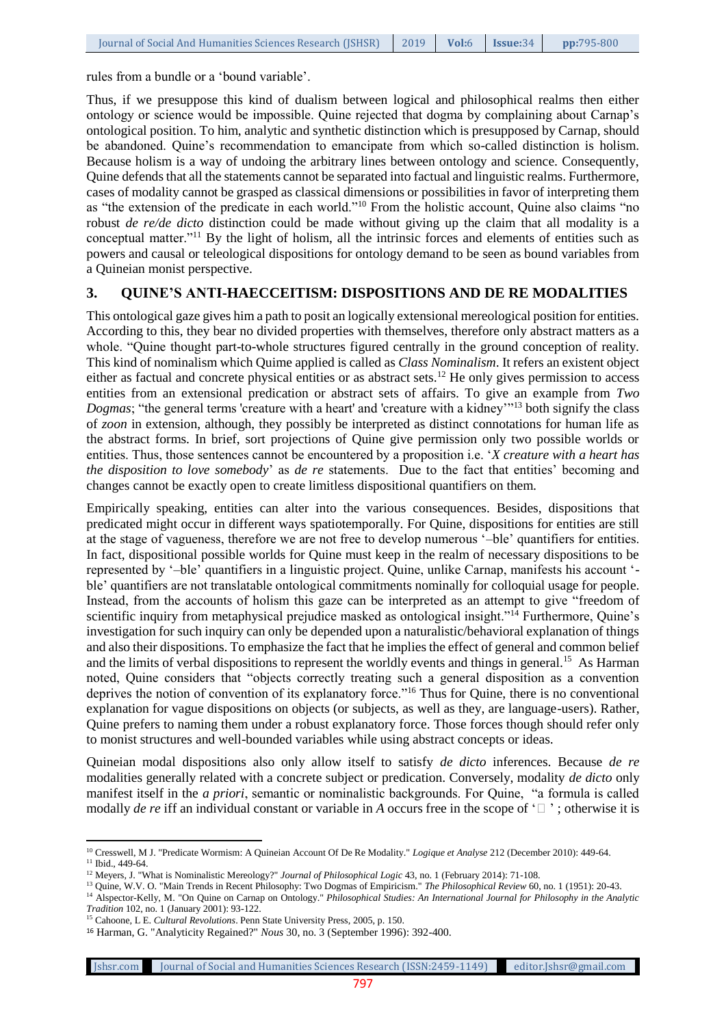rules from a bundle or a 'bound variable'.

Thus, if we presuppose this kind of dualism between logical and philosophical realms then either ontology or science would be impossible. Quine rejected that dogma by complaining about Carnap's ontological position. To him, analytic and synthetic distinction which is presupposed by Carnap, should be abandoned. Quine's recommendation to emancipate from which so-called distinction is holism. Because holism is a way of undoing the arbitrary lines between ontology and science. Consequently, Quine defends that all the statements cannot be separated into factual and linguistic realms. Furthermore, cases of modality cannot be grasped as classical dimensions or possibilities in favor of interpreting them as "the extension of the predicate in each world."<sup>10</sup> From the holistic account, Quine also claims "no robust *de re/de dicto* distinction could be made without giving up the claim that all modality is a conceptual matter."<sup>11</sup> By the light of holism, all the intrinsic forces and elements of entities such as powers and causal or teleological dispositions for ontology demand to be seen as bound variables from a Quineian monist perspective.

#### **3. QUINE'S ANTI-HAECCEITISM: DISPOSITIONS AND DE RE MODALITIES**

This ontological gaze gives him a path to posit an logically extensional mereological position for entities. According to this, they bear no divided properties with themselves, therefore only abstract matters as a whole. "Quine thought part-to-whole structures figured centrally in the ground conception of reality. This kind of nominalism which Quime applied is called as *Class Nominalism*. It refers an existent object either as factual and concrete physical entities or as abstract sets.<sup>12</sup> He only gives permission to access entities from an extensional predication or abstract sets of affairs. To give an example from *Two Dogmas*; "the general terms 'creature with a heart' and 'creature with a kidney'<sup>13</sup> both signify the class of *zoon* in extension, although, they possibly be interpreted as distinct connotations for human life as the abstract forms. In brief, sort projections of Quine give permission only two possible worlds or entities. Thus, those sentences cannot be encountered by a proposition i.e. '*X creature with a heart has the disposition to love somebody*' as *de re* statements. Due to the fact that entities' becoming and changes cannot be exactly open to create limitless dispositional quantifiers on them.

Empirically speaking, entities can alter into the various consequences. Besides, dispositions that predicated might occur in different ways spatiotemporally. For Quine, dispositions for entities are still at the stage of vagueness, therefore we are not free to develop numerous '–ble' quantifiers for entities. In fact, dispositional possible worlds for Quine must keep in the realm of necessary dispositions to be represented by '–ble' quantifiers in a linguistic project. Quine, unlike Carnap, manifests his account ' ble' quantifiers are not translatable ontological commitments nominally for [colloquial](http://tureng.com/tr/turkce-ingilizce/colloquial) usage for people. Instead, from the accounts of holism this gaze can be interpreted as an attempt to give "freedom of scientific inquiry from metaphysical prejudice masked as ontological insight."<sup>14</sup> Furthermore, Quine's investigation for such inquiry can only be depended upon a naturalistic/behavioral explanation of things and also their dispositions. To emphasize the fact that he implies the effect of general and common belief and the limits of verbal dispositions to represent the worldly events and things in general.<sup>15</sup> As Harman noted, Quine considers that "objects correctly treating such a general disposition as a convention deprives the notion of convention of its explanatory force."<sup>16</sup> Thus for Quine, there is no conventional explanation for vague dispositions on objects (or subjects, as well as they, are language-users). Rather, Quine prefers to naming them under a robust explanatory force. Those forces though should refer only to monist structures and well-bounded variables while using abstract concepts or ideas.

Quineian modal dispositions also only allow itself to satisfy *de dicto* inferences. Because *de re*  modalities generally related with a concrete subject or predication. Conversely, modality *de dicto* only manifest itself in the *a priori*, semantic or nominalistic backgrounds. For Quine, "a formula is called modally *de re* iff an individual constant or variable in *A* occurs free in the scope of  $\lceil \n \rceil$ ; otherwise it is

Jshsr.com Journal of Social and Humanities Sciences Research (ISSN:2459-1149) editor.Jshsr@gmail.com

 $\overline{a}$ <sup>10</sup> Cresswell, M J. "Predicate Wormism: A Quineian Account Of De Re Modality." *Logique et Analyse* 212 (December 2010): 449-64.

<sup>&</sup>lt;sup>11</sup> Ibid., 449-64.

<sup>&</sup>lt;sup>12</sup> Meyers, J. "What is Nominalistic Mereology?" *Journal of Philosophical Logic* 43, no. 1 (February 2014): 71-108.

<sup>13</sup> Quine, W.V. O. "Main Trends in Recent Philosophy: Two Dogmas of Empiricism." *The Philosophical Review* 60, no. 1 (1951): 20-43.

<sup>&</sup>lt;sup>14</sup> Alspector-Kelly, M. "On Quine on Carnap on Ontology." *Philosophical Studies: An International Journal for Philosophy in the Analytic Tradition* 102, no. 1 (January 2001): 93-122.

<sup>15</sup> Cahoone, L E. *Cultural Revolutions*. Penn State University Press, 2005, p. 150.

<sup>16</sup> Harman, G. "Analyticity Regained?" *Nous* 30, no. 3 (September 1996): 392-400.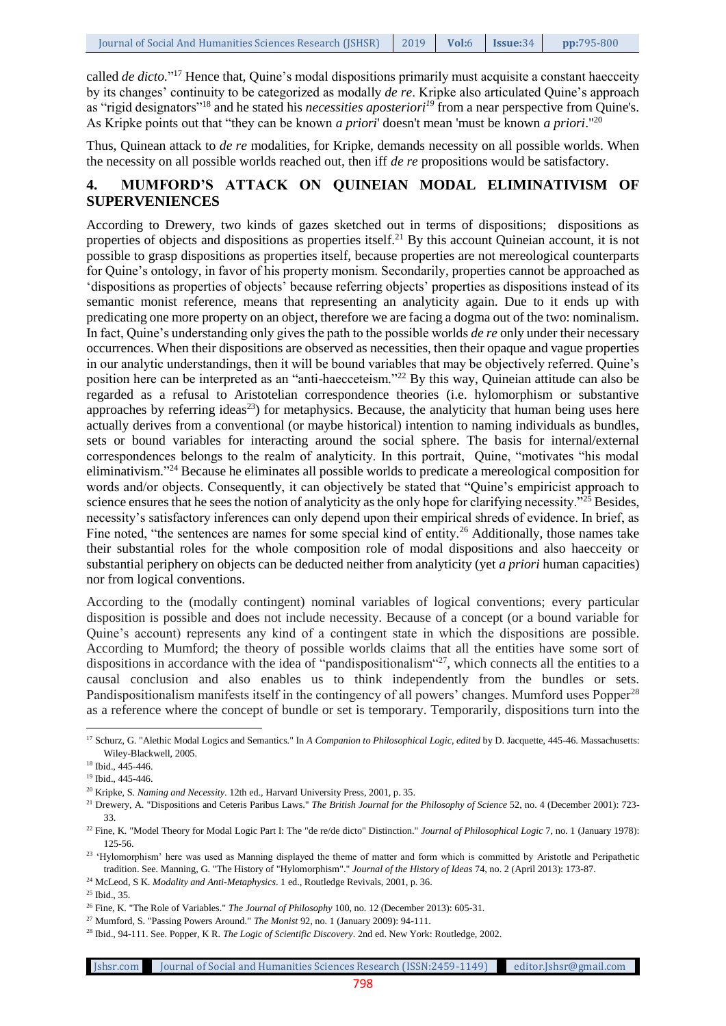called *de dicto*."<sup>17</sup> Hence that, Quine's modal dispositions primarily must acquisite a constant haecceity by its changes' continuity to be categorized as modally *de re*. Kripke also articulated Quine's approach as "rigid designators"<sup>18</sup> and he stated his *necessities aposteriori<sup>19</sup>* from a near perspective from Quine's. As Kripke points out that "they can be known *a priori*' doesn't mean 'must be known *a priori*."<sup>20</sup>

Thus, Quinean attack to *de re* modalities, for Kripke, demands necessity on all possible worlds. When the necessity on all possible worlds reached out, then iff *de re* propositions would be satisfactory.

#### **4. MUMFORD'S ATTACK ON QUINEIAN MODAL ELIMINATIVISM OF SUPERVENIENCES**

According to Drewery, two kinds of gazes sketched out in terms of dispositions; dispositions as properties of objects and dispositions as properties itself.<sup>21</sup> By this account Quineian account, it is not possible to grasp dispositions as properties itself, because properties are not mereological counterparts for Quine's ontology, in favor of his property monism. Secondarily, properties cannot be approached as 'dispositions as properties of objects' because referring objects' properties as dispositions instead of its semantic monist reference, means that representing an analyticity again. Due to it ends up with predicating one more property on an object, therefore we are facing a dogma out of the two: nominalism. In fact, Quine's understanding only gives the path to the possible worlds *de re* only under their necessary occurrences. When their dispositions are observed as necessities, then their opaque and vague properties in our analytic understandings, then it will be bound variables that may be objectively referred. Quine's position here can be interpreted as an "anti-haecceteism."<sup>22</sup> By this way, Quineian attitude can also be regarded as a refusal to Aristotelian correspondence theories (i.e. hylomorphism or substantive approaches by referring ideas<sup>23</sup>) for metaphysics. Because, the analyticity that human being uses here actually derives from a conventional (or maybe historical) intention to naming individuals as bundles, sets or bound variables for interacting around the social sphere. The basis for internal/external correspondences belongs to the realm of analyticity. In this portrait, Quine, "motivates "his modal eliminativism."<sup>24</sup> Because he eliminates all possible worlds to predicate a mereological composition for words and/or objects. Consequently, it can objectively be stated that "Quine's empiricist approach to science ensures that he sees the notion of analyticity as the only hope for clarifying necessity.<sup>"25</sup> Besides, necessity's satisfactory inferences can only depend upon their empirical shreds of evidence. In brief, as Fine noted, "the sentences are names for some special kind of entity.<sup>26</sup> Additionally, those names take their substantial roles for the whole composition role of modal dispositions and also haecceity or substantial periphery on objects can be deducted neither from analyticity (yet *a priori* human capacities) nor from logical conventions.

According to the (modally contingent) nominal variables of logical conventions; every particular disposition is possible and does not include necessity. Because of a concept (or a bound variable for Quine's account) represents any kind of a contingent state in which the dispositions are possible. According to Mumford; the theory of possible worlds claims that all the entities have some sort of dispositions in accordance with the idea of "pandispositionalism"<sup>27</sup>, which connects all the entities to a causal conclusion and also enables us to think independently from the bundles or sets. Pandispositionalism manifests itself in the contingency of all powers' changes. Mumford uses Popper<sup>28</sup> as a reference where the concept of bundle or set is temporary. Temporarily, dispositions turn into the

 $\overline{\phantom{a}}$ <sup>17</sup> Schurz, G. "Alethic Modal Logics and Semantics." In *A Companion to Philosophical Logic, edited* by D. Jacquette, 445-46. Massachusetts: Wiley-Blackwell, 2005.

<sup>18</sup> Ibid., 445-446.

<sup>19</sup> Ibid., 445-446.

<sup>20</sup> Kripke, S. *Naming and Necessity*. 12th ed., Harvard University Press, 2001, p. 35.

<sup>21</sup> Drewery, A. "Dispositions and Ceteris Paribus Laws." *The British Journal for the Philosophy of Science* 52, no. 4 (December 2001): 723- 33.

<sup>&</sup>lt;sup>22</sup> Fine, K. "Model Theory for Modal Logic Part I: The "de re/de dicto" Distinction." *Journal of Philosophical Logic* 7, no. 1 (January 1978): 125-56.

<sup>&</sup>lt;sup>23</sup> 'Hylomorphism' here was used as Manning displayed the theme of matter and form which is committed by Aristotle and Peripathetic tradition. See. Manning, G. "The History of "Hylomorphism"." *Journal of the History of Ideas* 74, no. 2 (April 2013): 173-87.

<sup>24</sup> McLeod, S K. *Modality and Anti-Metaphysics*. 1 ed., Routledge Revivals, 2001, p. 36.

<sup>25</sup> Ibid., 35.

<sup>26</sup> Fine, K. "The Role of Variables." *The Journal of Philosophy* 100, no. 12 (December 2013): 605-31.

<sup>27</sup> Mumford, S. "Passing Powers Around." *The Monist* 92, no. 1 (January 2009): 94-111.

<sup>28</sup> Ibid., 94-111. See. Popper, K R. *The Logic of Scientific Discovery*. 2nd ed. New York: Routledge, 2002.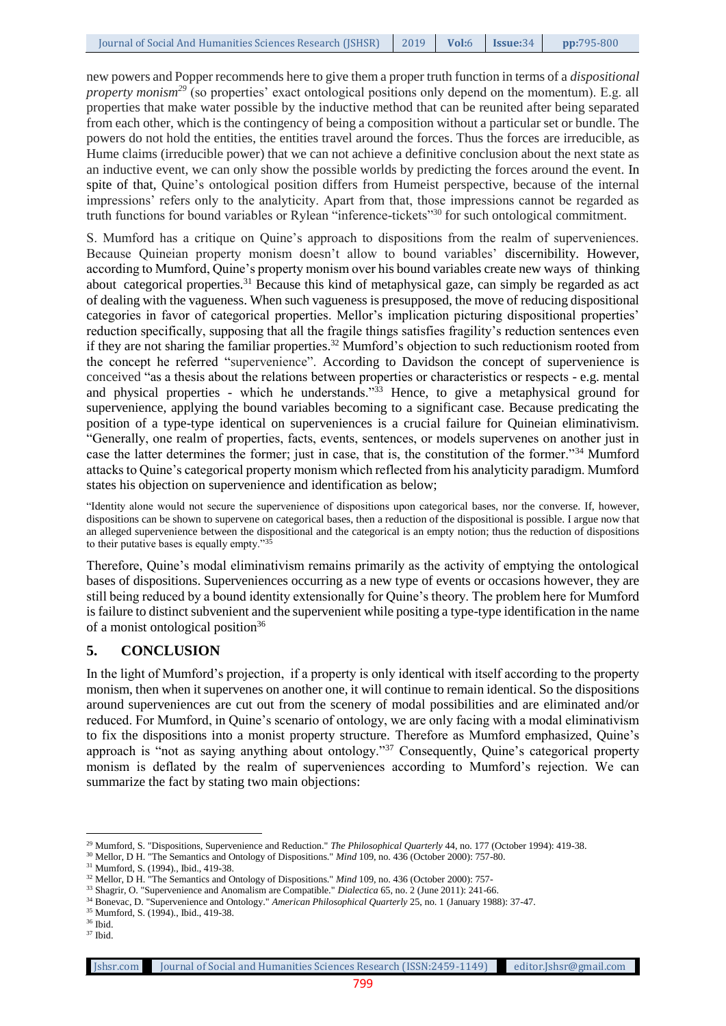new powers and Popper recommends here to give them a proper truth function in terms of a *dispositional property monism<sup>29</sup>* (so properties' exact ontological positions only depend on the momentum). E.g. all properties that make water possible by the inductive method that can be reunited after being separated from each other, which is the contingency of being a composition without a particular set or bundle. The powers do not hold the entities, the entities travel around the forces. Thus the forces are irreducible, as Hume claims (irreducible power) that we can not achieve a definitive conclusion about the next state as an inductive event, we can only show the possible worlds by predicting the forces around the event. In spite of that, Quine's ontological position differs from Humeist perspective, because of the internal impressions' refers only to the analyticity. Apart from that, those impressions cannot be regarded as truth functions for bound variables or Rylean "inference-tickets"<sup>30</sup> for such ontological commitment.

S. Mumford has a critique on Quine's approach to dispositions from the realm of superveniences. Because Quineian property monism doesn't allow to bound variables' discernibility. However, according to Mumford, Quine's property monism over his bound variables create new ways. of. thinking about. categorical properties.<sup>31</sup> Because this kind of metaphysical gaze, can simply be regarded as act of dealing with the vagueness. When such vagueness is presupposed, the move of reducing dispositional categories in favor of categorical properties. Mellor's implication picturing dispositional properties' reduction specifically, supposing that all the fragile things satisfies fragility's reduction sentences even if they are not sharing the familiar properties.<sup>32</sup> Mumford's objection to such reductionism rooted from the concept he referred "supervenience". According to Davidson the concept of supervenience is conceived "as a thesis about the relations between properties or characteristics or respects - e.g. mental and physical properties - which he understands.<sup> $33$ </sup> Hence, to give a metaphysical ground for supervenience, applying the bound variables becoming to a significant case. Because predicating the position of a type-type identical on superveniences is a crucial failure for Quineian eliminativism. "Generally, one realm of properties, facts, events, sentences, or models supervenes on another just in case the latter determines the former; just in case, that is, the constitution of the former."<sup>34</sup> Mumford attacks to Quine's categorical property monism which reflected from his analyticity paradigm. Mumford states his objection on supervenience and identification as below;

"Identity alone would not secure the supervenience of dispositions upon categorical bases, nor the converse. If, however, dispositions can be shown to supervene on categorical bases, then a reduction of the dispositional is possible. I argue now that an alleged supervenience between the dispositional and the categorical is an empty notion; thus the reduction of dispositions to their putative bases is equally empty."<sup>35</sup>

Therefore, Quine's modal eliminativism remains primarily as the activity of emptying the ontological bases of dispositions. Superveniences occurring as a new type of events or occasions however, they are still being reduced by a bound identity extensionally for Quine's theory. The problem here for Mumford is failure to distinct subvenient and the supervenient while positing a type-type identification in the name of a monist ontological position<sup>36</sup>

#### **5. CONCLUSION**

In the light of Mumford's projection, if a property is only identical with itself according to the property monism, then when it supervenes on another one, it will continue to remain identical. So the dispositions around superveniences are cut out from the scenery of modal possibilities and are eliminated and/or reduced. For Mumford, in Quine's scenario of ontology, we are only facing with a modal eliminativism to fix the dispositions into a monist property structure. Therefore as Mumford emphasized, Quine's approach is "not as saying anything about ontology."<sup>37</sup> Consequently, Quine's categorical property monism is deflated by the realm of superveniences according to Mumford's rejection. We can summarize the fact by stating two main objections:

 $\overline{\phantom{a}}$ <sup>29</sup> Mumford, S. "Dispositions, Supervenience and Reduction." *The Philosophical Quarterly* 44, no. 177 (October 1994): 419-38.

<sup>&</sup>lt;sup>30</sup> Mellor, D H. "The Semantics and Ontology of Dispositions." *Mind* 109, no. 436 (October 2000): 757-80.

<sup>31</sup> Mumford, S. (1994)., Ibid., 419-38.

<sup>&</sup>lt;sup>32</sup> Mellor, D H. "The Semantics and Ontology of Dispositions." *Mind* 109, no. 436 (October 2000): 757-

<sup>33</sup> Shagrir, O. "Supervenience and Anomalism are Compatible." *Dialectica* 65, no. 2 (June 2011): 241-66.

<sup>34</sup> Bonevac, D. "Supervenience and Ontology." *American Philosophical Quarterly* 25, no. 1 (January 1988): 37-47.

<sup>35</sup> Mumford, S. (1994)., Ibid., 419-38.

<sup>36</sup> Ibid.

 $^\mathrm{37}$  Ibid.